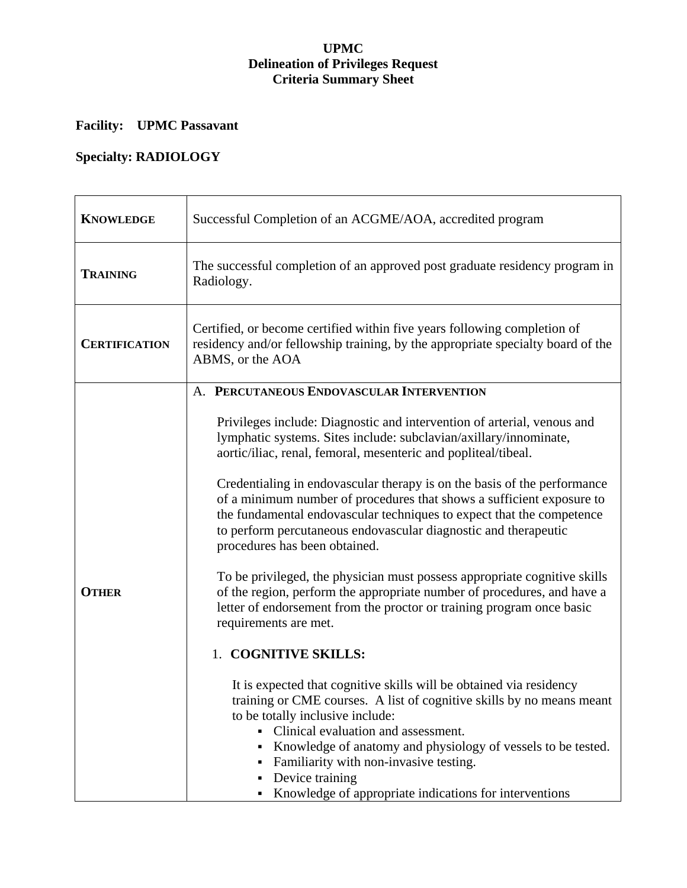#### **UPMC Delineation of Privileges Request Criteria Summary Sheet**

# **Facility: UPMC Passavant**

# **Specialty: RADIOLOGY**

| <b>KNOWLEDGE</b>     | Successful Completion of an ACGME/AOA, accredited program                                                                                                                                                                                                                                                                                                                                                                           |
|----------------------|-------------------------------------------------------------------------------------------------------------------------------------------------------------------------------------------------------------------------------------------------------------------------------------------------------------------------------------------------------------------------------------------------------------------------------------|
| <b>TRAINING</b>      | The successful completion of an approved post graduate residency program in<br>Radiology.                                                                                                                                                                                                                                                                                                                                           |
| <b>CERTIFICATION</b> | Certified, or become certified within five years following completion of<br>residency and/or fellowship training, by the appropriate specialty board of the<br>ABMS, or the AOA                                                                                                                                                                                                                                                     |
|                      | A. PERCUTANEOUS ENDOVASCULAR INTERVENTION                                                                                                                                                                                                                                                                                                                                                                                           |
|                      | Privileges include: Diagnostic and intervention of arterial, venous and<br>lymphatic systems. Sites include: subclavian/axillary/innominate,<br>aortic/iliac, renal, femoral, mesenteric and popliteal/tibeal.                                                                                                                                                                                                                      |
|                      | Credentialing in endovascular therapy is on the basis of the performance<br>of a minimum number of procedures that shows a sufficient exposure to<br>the fundamental endovascular techniques to expect that the competence<br>to perform percutaneous endovascular diagnostic and therapeutic<br>procedures has been obtained.                                                                                                      |
| <b>OTHER</b>         | To be privileged, the physician must possess appropriate cognitive skills<br>of the region, perform the appropriate number of procedures, and have a<br>letter of endorsement from the proctor or training program once basic<br>requirements are met.                                                                                                                                                                              |
|                      | 1. COGNITIVE SKILLS:                                                                                                                                                                                                                                                                                                                                                                                                                |
|                      | It is expected that cognitive skills will be obtained via residency<br>training or CME courses. A list of cognitive skills by no means meant<br>to be totally inclusive include:<br>Clinical evaluation and assessment.<br>×,<br>Knowledge of anatomy and physiology of vessels to be tested.<br>٠<br>Familiarity with non-invasive testing.<br>Device training<br>٠<br>Knowledge of appropriate indications for interventions<br>٠ |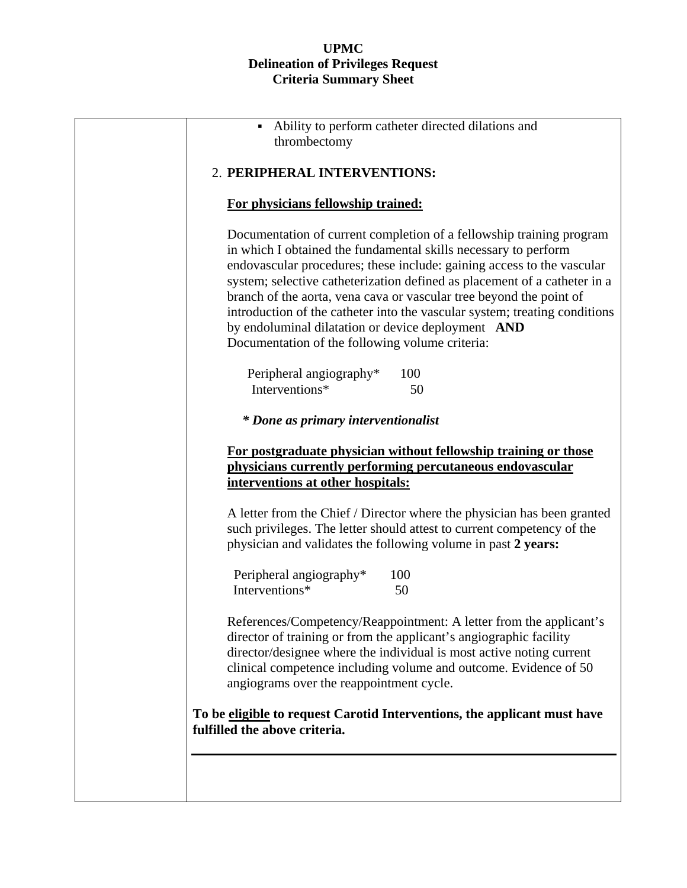#### **UPMC Delineation of Privileges Request Criteria Summary Sheet**

| Ability to perform catheter directed dilations and<br>thrombectomy                                                                                                                                                                                                                                                                                                                                                                                                                                                                                           |
|--------------------------------------------------------------------------------------------------------------------------------------------------------------------------------------------------------------------------------------------------------------------------------------------------------------------------------------------------------------------------------------------------------------------------------------------------------------------------------------------------------------------------------------------------------------|
| 2. PERIPHERAL INTERVENTIONS:                                                                                                                                                                                                                                                                                                                                                                                                                                                                                                                                 |
| For physicians fellowship trained:                                                                                                                                                                                                                                                                                                                                                                                                                                                                                                                           |
| Documentation of current completion of a fellowship training program<br>in which I obtained the fundamental skills necessary to perform<br>endovascular procedures; these include: gaining access to the vascular<br>system; selective catheterization defined as placement of a catheter in a<br>branch of the aorta, vena cava or vascular tree beyond the point of<br>introduction of the catheter into the vascular system; treating conditions<br>by endoluminal dilatation or device deployment AND<br>Documentation of the following volume criteria: |
| Peripheral angiography*<br>100<br>Interventions*<br>50                                                                                                                                                                                                                                                                                                                                                                                                                                                                                                       |
| * Done as primary interventionalist                                                                                                                                                                                                                                                                                                                                                                                                                                                                                                                          |
| For postgraduate physician without fellowship training or those<br>physicians currently performing percutaneous endovascular<br>interventions at other hospitals:                                                                                                                                                                                                                                                                                                                                                                                            |
| A letter from the Chief / Director where the physician has been granted<br>such privileges. The letter should attest to current competency of the<br>physician and validates the following volume in past 2 years:                                                                                                                                                                                                                                                                                                                                           |
| Peripheral angiography*<br>100<br>Interventions*<br>50                                                                                                                                                                                                                                                                                                                                                                                                                                                                                                       |
| References/Competency/Reappointment: A letter from the applicant's<br>director of training or from the applicant's angiographic facility<br>director/designee where the individual is most active noting current<br>clinical competence including volume and outcome. Evidence of 50<br>angiograms over the reappointment cycle.                                                                                                                                                                                                                             |
| To be eligible to request Carotid Interventions, the applicant must have<br>fulfilled the above criteria.                                                                                                                                                                                                                                                                                                                                                                                                                                                    |
|                                                                                                                                                                                                                                                                                                                                                                                                                                                                                                                                                              |